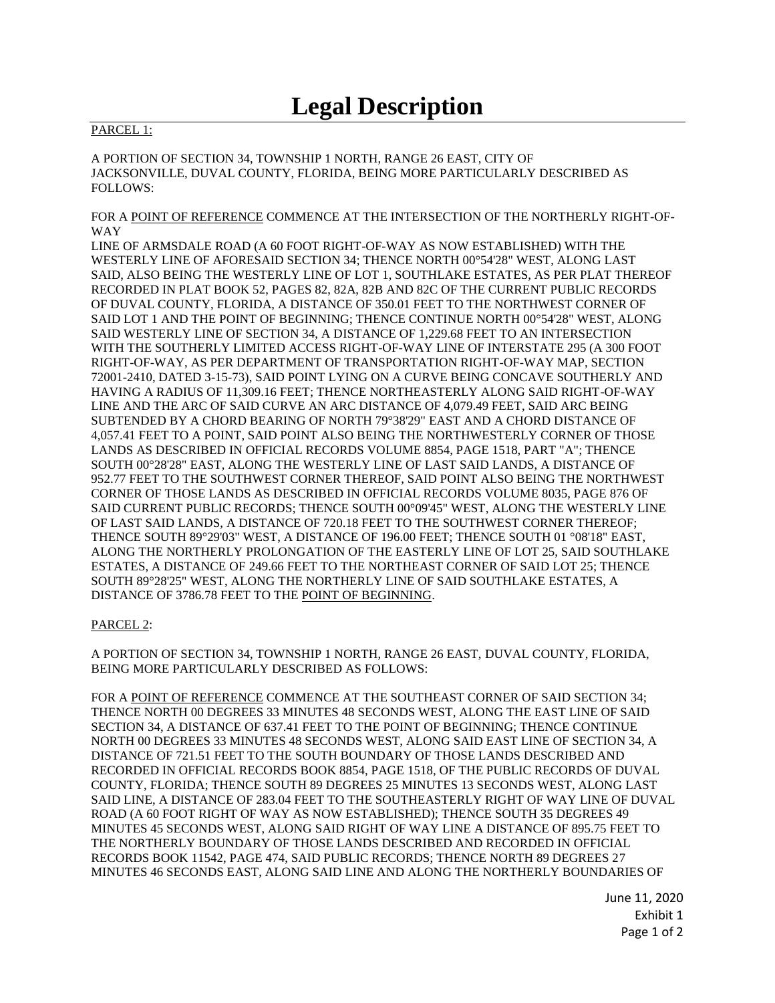## PARCEL 1:

A PORTION OF SECTION 34, TOWNSHIP 1 NORTH, RANGE 26 EAST, CITY OF JACKSONVILLE, DUVAL COUNTY, FLORIDA, BEING MORE PARTICULARLY DESCRIBED AS FOLLOWS:

FOR A POINT OF REFERENCE COMMENCE AT THE INTERSECTION OF THE NORTHERLY RIGHT-OF-WAY

LINE OF ARMSDALE ROAD (A 60 FOOT RIGHT-OF-WAY AS NOW ESTABLISHED) WITH THE WESTERLY LINE OF AFORESAID SECTION 34; THENCE NORTH 00°54'28" WEST, ALONG LAST SAID, ALSO BEING THE WESTERLY LINE OF LOT 1, SOUTHLAKE ESTATES, AS PER PLAT THEREOF RECORDED IN PLAT BOOK 52, PAGES 82, 82A, 82B AND 82C OF THE CURRENT PUBLIC RECORDS OF DUVAL COUNTY, FLORIDA, A DISTANCE OF 350.01 FEET TO THE NORTHWEST CORNER OF SAID LOT 1 AND THE POINT OF BEGINNING; THENCE CONTINUE NORTH 00°54'28" WEST, ALONG SAID WESTERLY LINE OF SECTION 34, A DISTANCE OF 1,229.68 FEET TO AN INTERSECTION WITH THE SOUTHERLY LIMITED ACCESS RIGHT-OF-WAY LINE OF INTERSTATE 295 (A 300 FOOT RIGHT-OF-WAY, AS PER DEPARTMENT OF TRANSPORTATION RIGHT-OF-WAY MAP, SECTION 72001-2410, DATED 3-15-73), SAID POINT LYING ON A CURVE BEING CONCAVE SOUTHERLY AND HAVING A RADIUS OF 11,309.16 FEET; THENCE NORTHEASTERLY ALONG SAID RIGHT-OF-WAY LINE AND THE ARC OF SAID CURVE AN ARC DISTANCE OF 4,079.49 FEET, SAID ARC BEING SUBTENDED BY A CHORD BEARING OF NORTH 79°38'29" EAST AND A CHORD DISTANCE OF 4,057.41 FEET TO A POINT, SAID POINT ALSO BEING THE NORTHWESTERLY CORNER OF THOSE LANDS AS DESCRIBED IN OFFICIAL RECORDS VOLUME 8854, PAGE 1518, PART "A"; THENCE SOUTH 00°28'28" EAST, ALONG THE WESTERLY LINE OF LAST SAID LANDS, A DISTANCE OF 952.77 FEET TO THE SOUTHWEST CORNER THEREOF, SAID POINT ALSO BEING THE NORTHWEST CORNER OF THOSE LANDS AS DESCRIBED IN OFFICIAL RECORDS VOLUME 8035, PAGE 876 OF SAID CURRENT PUBLIC RECORDS; THENCE SOUTH 00°09'45" WEST, ALONG THE WESTERLY LINE OF LAST SAID LANDS, A DISTANCE OF 720.18 FEET TO THE SOUTHWEST CORNER THEREOF; THENCE SOUTH 89°29'03" WEST, A DISTANCE OF 196.00 FEET; THENCE SOUTH 01 °08'18" EAST, ALONG THE NORTHERLY PROLONGATION OF THE EASTERLY LINE OF LOT 25, SAID SOUTHLAKE ESTATES, A DISTANCE OF 249.66 FEET TO THE NORTHEAST CORNER OF SAID LOT 25; THENCE SOUTH 89°28'25" WEST, ALONG THE NORTHERLY LINE OF SAID SOUTHLAKE ESTATES, A DISTANCE OF 3786.78 FEET TO THE POINT OF BEGINNING.

## PARCEL 2:

A PORTION OF SECTION 34, TOWNSHIP 1 NORTH, RANGE 26 EAST, DUVAL COUNTY, FLORIDA, BEING MORE PARTICULARLY DESCRIBED AS FOLLOWS:

FOR A POINT OF REFERENCE COMMENCE AT THE SOUTHEAST CORNER OF SAID SECTION 34; THENCE NORTH 00 DEGREES 33 MINUTES 48 SECONDS WEST, ALONG THE EAST LINE OF SAID SECTION 34, A DISTANCE OF 637.41 FEET TO THE POINT OF BEGINNING; THENCE CONTINUE NORTH 00 DEGREES 33 MINUTES 48 SECONDS WEST, ALONG SAID EAST LINE OF SECTION 34, A DISTANCE OF 721.51 FEET TO THE SOUTH BOUNDARY OF THOSE LANDS DESCRIBED AND RECORDED IN OFFICIAL RECORDS BOOK 8854, PAGE 1518, OF THE PUBLIC RECORDS OF DUVAL COUNTY, FLORIDA; THENCE SOUTH 89 DEGREES 25 MINUTES 13 SECONDS WEST, ALONG LAST SAID LINE, A DISTANCE OF 283.04 FEET TO THE SOUTHEASTERLY RIGHT OF WAY LINE OF DUVAL ROAD (A 60 FOOT RIGHT OF WAY AS NOW ESTABLISHED); THENCE SOUTH 35 DEGREES 49 MINUTES 45 SECONDS WEST, ALONG SAID RIGHT OF WAY LINE A DISTANCE OF 895.75 FEET TO THE NORTHERLY BOUNDARY OF THOSE LANDS DESCRIBED AND RECORDED IN OFFICIAL RECORDS BOOK 11542, PAGE 474, SAID PUBLIC RECORDS; THENCE NORTH 89 DEGREES 27 MINUTES 46 SECONDS EAST, ALONG SAID LINE AND ALONG THE NORTHERLY BOUNDARIES OF

> June 11, 2020 Exhibit 1 Page 1 of 2